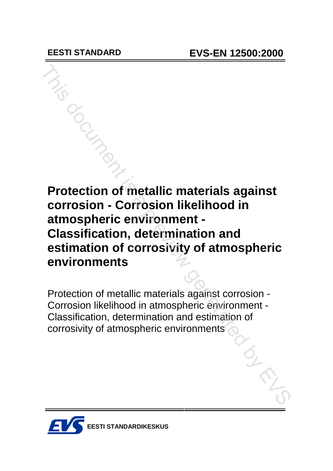**Protection of metallic materials against corrosion - Corrosion likelihood in atmospheric environment - Classification, determination and estimation of corrosivity of atmospheric environments** This document is a probability of the state of the state of the control of the control of a control of corrosion is a propertied environment control estimation of corrosivity of atmospheric environments<br>Protection of metal

Protection of metallic materials against corrosion - Corrosion likelihood in atmospheric environment - Classification, determination and estimation of corrosivity of atmospheric environments

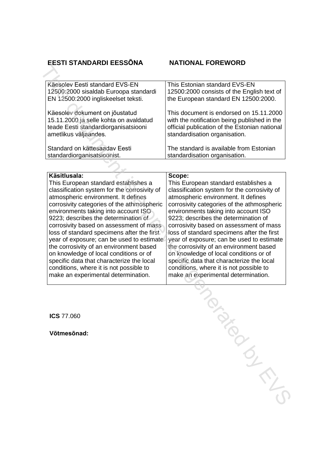#### **EESTI STANDARDI EESS'NA NATIONAL FOREWORD**

|  | Käesolev Eesti standard EVS-EN                                                      | This Estonian standard EVS-EN                                                       |  |
|--|-------------------------------------------------------------------------------------|-------------------------------------------------------------------------------------|--|
|  | 12500:2000 sisaldab Euroopa standardi                                               | 12500:2000 consists of the English text of                                          |  |
|  | EN 12500:2000 ingliskeelset teksti.                                                 | the European standard EN 12500:2000.                                                |  |
|  |                                                                                     |                                                                                     |  |
|  | Käesolev dokument on jõustatud                                                      | This document is endorsed on 15.11.2000                                             |  |
|  | 15.11.2000 ja selle kohta on avaldatud                                              | with the notification being published in the                                        |  |
|  | teade Eesti standardiorganisatsiooni                                                | official publication of the Estonian national                                       |  |
|  | ametlikus väljaandes.                                                               | standardisation organisation.                                                       |  |
|  |                                                                                     |                                                                                     |  |
|  | Standard on kättesaadav Eesti                                                       | The standard is available from Estonian                                             |  |
|  | standardiorganisatsioonist.                                                         | standardisation organisation.                                                       |  |
|  |                                                                                     |                                                                                     |  |
|  |                                                                                     |                                                                                     |  |
|  |                                                                                     |                                                                                     |  |
|  | Käsitlusala:                                                                        | Scope:                                                                              |  |
|  | This European standard establishes a                                                | This European standard establishes a                                                |  |
|  | classification system for the corrosivity of                                        | classification system for the corrosivity of                                        |  |
|  | atmospheric environment. It defines                                                 | atmospheric environment. It defines                                                 |  |
|  | corrosivity categories of the athmospheric                                          | corrosivity categories of the athmospheric                                          |  |
|  | environments taking into account ISO                                                | environments taking into account ISO                                                |  |
|  | 9223; describes the determination of                                                | 9223; describes the determination of                                                |  |
|  | corrosivity based on assessment of mass                                             | corrosivity based on assessment of mass                                             |  |
|  | loss of standard specimens after the first                                          | loss of standard specimens after the first                                          |  |
|  | year of exposure; can be used to estimate                                           | year of exposure; can be used to estimate                                           |  |
|  | the corrosivity of an environment based                                             | the corrosivity of an environment based                                             |  |
|  | on knowledge of local conditions or of<br>specific data that characterize the local | on knowledge of local conditions or of<br>specific data that characterize the local |  |

**ICS** 77.060

conditions, where it is not possible to make an experimental determination.

**Vıtmesınad:**

Tagacion de Criment

conditions, where it is not possible to make an experimental determination.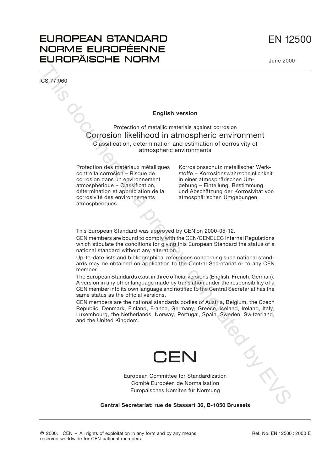## EN 12500

### **EUROPEAN STANDARD** NORME EUROPÉENNE **EUROPÄISCHE NORM**

ICS 77.060

#### **English version**

Protection of metallic materials against corrosion Corrosion likelihood in atmospheric environment Classification, determination and estimation of corrosivity of atmospheric environments English version<br>
Correction of metalling metalling against correction<br>
Correction II (kellihood in a throuspheric environment<br>
Cassification, determination and estimation of correctivity of<br>
Protection des materials metal

Protection des matériaux métalliques contre la corrosion – Risque de corrosion dans un environnement atmosphérique – Classification, détermination et appréciation de la corrosivité des environnements atmosphériques

Korrosionsschutz metallischer Werkstoffe – Korrosionswahrscheinlichkeit in einer atmosphärischen Umgebung – Einteilung, Bestimmung und Abschätzung der Korrosivität von atmosphärischen Umgebungen

This European Standard was approved by CEN on 2000-05-12.

CEN members are bound to comply with the CEN/CENELEC Internal Regulations which stipulate the conditions for giving this European Standard the status of a national standard without any alteration.

Up-to-date lists and bibliographical references concerning such national standards may be obtained on application to the Central Secretariat or to any CEN member.

The European Standards exist in three official versions (English, French, German). A version in any other language made by translation under the responsibility of a CEN member into its own language and notified to the Central Secretariat has the same status as the official versions.

CEN members are the national standards bodies of Austria, Belgium, the Czech Republic, Denmark, Finland, France, Germany, Greece, Iceland, Ireland, Italy, Luxembourg, the Netherlands, Norway, Portugal, Spain, Sweden, Switzerland, and the United Kingdom.



European Committee for Standardization Comité Européen de Normalisation Europäisches Komitee für Normung

**Central Secretariat: rue de Stassart 36, B-1050 Brussels**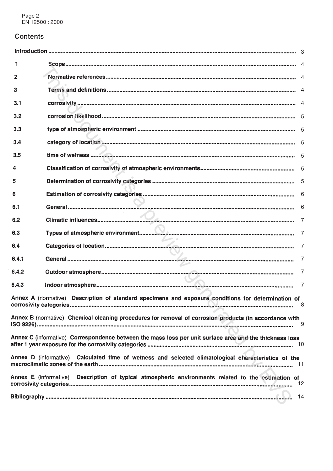### **Contents**

| 1                                                                                                  |                                                                                                                                                                                                                                      |                |  |
|----------------------------------------------------------------------------------------------------|--------------------------------------------------------------------------------------------------------------------------------------------------------------------------------------------------------------------------------------|----------------|--|
| $\mathbf{2}$                                                                                       |                                                                                                                                                                                                                                      |                |  |
| 3                                                                                                  |                                                                                                                                                                                                                                      |                |  |
| 3.1                                                                                                |                                                                                                                                                                                                                                      |                |  |
| 3.2                                                                                                |                                                                                                                                                                                                                                      |                |  |
| 3.3                                                                                                |                                                                                                                                                                                                                                      |                |  |
| 3.4                                                                                                | category of location <b>Decretion</b> 2001 2004 5                                                                                                                                                                                    |                |  |
| 3.5                                                                                                |                                                                                                                                                                                                                                      |                |  |
| 4                                                                                                  |                                                                                                                                                                                                                                      |                |  |
| 5                                                                                                  |                                                                                                                                                                                                                                      |                |  |
| 6                                                                                                  |                                                                                                                                                                                                                                      |                |  |
| 6.1                                                                                                |                                                                                                                                                                                                                                      |                |  |
| 6.2                                                                                                |                                                                                                                                                                                                                                      |                |  |
| 6.3                                                                                                |                                                                                                                                                                                                                                      |                |  |
| 6.4                                                                                                |                                                                                                                                                                                                                                      |                |  |
| 6.4.1                                                                                              | <u>the second contract of the second contract of the second contract of the second contract of the second contract of the second contract of the second contract of the second contract of the second contract of the second con</u> |                |  |
| 6.4.2                                                                                              |                                                                                                                                                                                                                                      | $\overline{7}$ |  |
| 6.4.3                                                                                              |                                                                                                                                                                                                                                      |                |  |
| Annex A (normative) Description of standard specimens and exposure conditions for determination of |                                                                                                                                                                                                                                      |                |  |
|                                                                                                    | Annex B (normative) Chemical cleaning procedures for removal of corrosion products (in accordance with                                                                                                                               | - 9            |  |
|                                                                                                    | Annex C (informative) Correspondence between the mass loss per unit surface area and the thickness loss                                                                                                                              |                |  |
|                                                                                                    | Annex D (informative) Calculated time of wetness and selected climatological characteristics of the                                                                                                                                  |                |  |
|                                                                                                    | Annex E (informative) Description of typical atmospheric environments related to the estimation of                                                                                                                                   |                |  |
|                                                                                                    |                                                                                                                                                                                                                                      | 14             |  |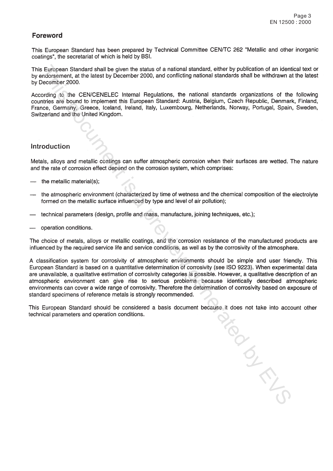#### **Foreword**

This European Standard has been prepared by Technical Committee CEN/TC 262 "Metallic and other inorganic coatings", the secretariat of which is held by BSI.

- 
- 
- 
- 

European Standard shell be given the status of a national eladeatic, ether by positivation of an identical<br>endocument at the latest by December 2000, and continuiting national standards death of which are the more than ide